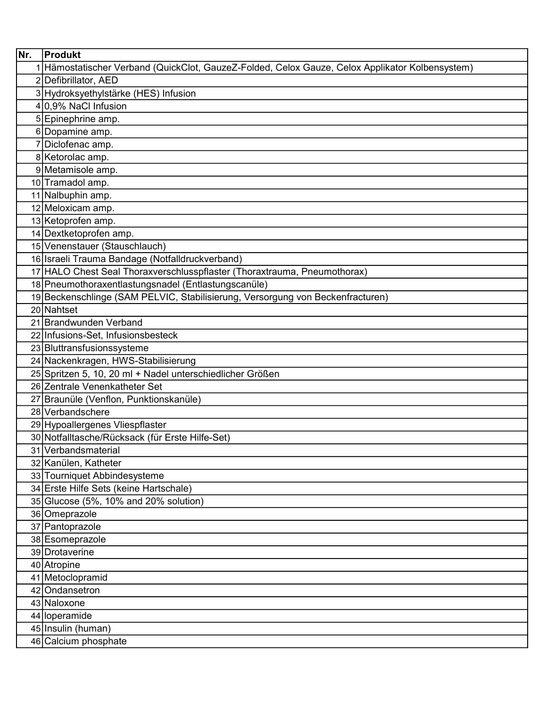| Nr. | Produkt                                                                                         |
|-----|-------------------------------------------------------------------------------------------------|
|     | 1 Hämostatischer Verband (QuickClot, GauzeZ-Folded, Celox Gauze, Celox Applikator Kolbensystem) |
|     | 2 Defibrillator, AED                                                                            |
|     | 3 Hydroksyethylstärke (HES) Infusion                                                            |
|     | 4 0,9% NaCl Infusion                                                                            |
|     | 5 Epinephrine amp.                                                                              |
|     | 6 Dopamine amp.                                                                                 |
|     | 7 Diclofenac amp.                                                                               |
|     | 8 Ketorolac amp.                                                                                |
|     | 9 Metamisole amp.                                                                               |
|     | 10 Tramadol amp.                                                                                |
|     | 11 Nalbuphin amp.                                                                               |
|     | 12 Meloxicam amp.                                                                               |
|     | 13 Ketoprofen amp.                                                                              |
|     | 14 Dextketoprofen amp.                                                                          |
|     | 15 Venenstauer (Stauschlauch)                                                                   |
|     | 16 Israeli Trauma Bandage (Notfalldruckverband)                                                 |
|     | 17 HALO Chest Seal Thoraxverschlusspflaster (Thoraxtrauma, Pneumothorax)                        |
|     | 18 Pneumothoraxentlastungsnadel (Entlastungscanüle)                                             |
|     | 19 Beckenschlinge (SAM PELVIC, Stabilisierung, Versorgung von Beckenfracturen)                  |
|     | 20 Nahtset                                                                                      |
|     | 21 Brandwunden Verband                                                                          |
|     | 22 Infusions-Set, Infusionsbesteck                                                              |
|     | 23 Bluttransfusionssysteme                                                                      |
|     | 24 Nackenkragen, HWS-Stabilisierung                                                             |
|     | 25 Spritzen 5, 10, 20 ml + Nadel unterschiedlicher Größen                                       |
|     | 26 Zentrale Venenkatheter Set                                                                   |
|     | 27 Braunüle (Venflon, Punktionskanüle)                                                          |
|     | 28 Verbandschere                                                                                |
|     | 29 Hypoallergenes Vliespflaster                                                                 |
|     | 30 Notfalltasche/Rücksack (für Erste Hilfe-Set)                                                 |
|     | 31 Verbandsmaterial                                                                             |
|     | 32 Kanülen, Katheter                                                                            |
|     | 33 Tourniquet Abbindesysteme                                                                    |
|     | 34 Erste Hilfe Sets (keine Hartschale)<br>35 Glucose (5%, 10% and 20% solution)                 |
|     |                                                                                                 |
|     | 36 Omeprazole<br>37 Pantoprazole                                                                |
|     | 38 Esomeprazole                                                                                 |
|     | 39 Drotaverine                                                                                  |
|     | 40 Atropine                                                                                     |
|     | 41 Metoclopramid                                                                                |
|     | 42 Ondansetron                                                                                  |
|     | 43 Naloxone                                                                                     |
|     | 44 loperamide                                                                                   |
|     | 45 Insulin (human)                                                                              |
|     | 46 Calcium phosphate                                                                            |
|     |                                                                                                 |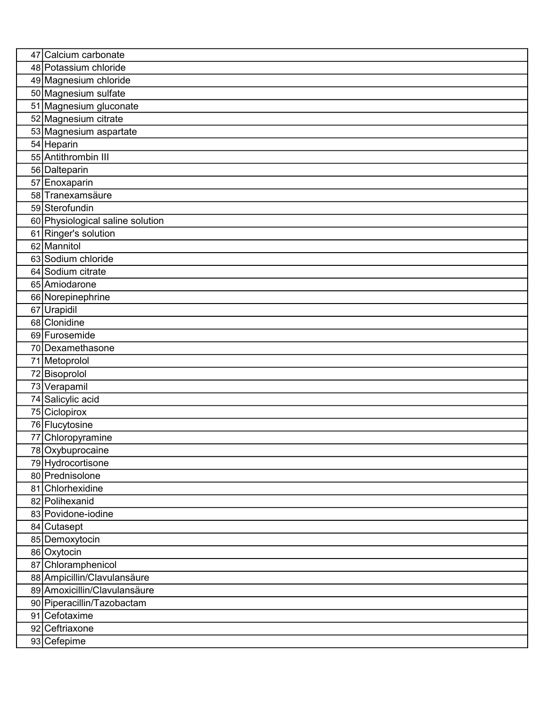| 47 Calcium carbonate                 |
|--------------------------------------|
| 48 Potassium chloride                |
| 49 Magnesium chloride                |
| 50 Magnesium sulfate                 |
| 51 Magnesium gluconate               |
| 52 Magnesium citrate                 |
| 53 Magnesium aspartate               |
| 54 Heparin                           |
| 55 Antithrombin III                  |
| 56 Dalteparin                        |
| 57 Enoxaparin                        |
| 58 Tranexamsäure                     |
| 59 Sterofundin                       |
| 60 Physiological saline solution     |
| 61 Ringer's solution                 |
| 62 Mannitol                          |
| 63 Sodium chloride                   |
| 64 Sodium citrate                    |
| 65 Amiodarone                        |
| 66 Norepinephrine                    |
| 67 Urapidil                          |
| 68 Clonidine                         |
| 69 Furosemide                        |
| 70 Dexamethasone                     |
| 71 Metoprolol                        |
| 72 Bisoprolol                        |
| 73 Verapamil                         |
| 74 Salicylic acid                    |
| 75 Ciclopirox                        |
| 76 Flucytosine                       |
| 77 Chloropyramine                    |
| 78 Oxybuprocaine                     |
| 79 Hydrocortisone                    |
| 80 Prednisolone                      |
| 81 Chlorhexidine                     |
| 82 Polihexanid<br>83 Povidone-iodine |
|                                      |
| 84 Cutasept                          |
| 85 Demoxytocin                       |
| 86 Oxytocin<br>87 Chloramphenicol    |
| 88 Ampicillin/Clavulansäure          |
| 89 Amoxicillin/Clavulansäure         |
| 90 Piperacillin/Tazobactam           |
| 91 Cefotaxime                        |
| 92 Ceftriaxone                       |
|                                      |
| 93 Cefepime                          |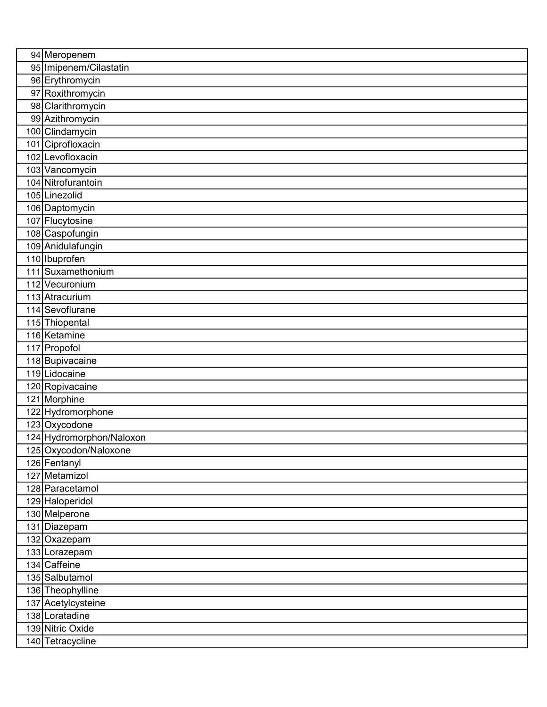| 94 Meropenem             |
|--------------------------|
| 95 Imipenem/Cilastatin   |
| 96 Erythromycin          |
| 97 Roxithromycin         |
| 98 Clarithromycin        |
| 99 Azithromycin          |
| 100 Clindamycin          |
| 101 Ciprofloxacin        |
| 102 Levofloxacin         |
| 103 Vancomycin           |
| 104 Nitrofurantoin       |
| 105 Linezolid            |
| 106 Daptomycin           |
| 107 Flucytosine          |
| 108 Caspofungin          |
| 109 Anidulafungin        |
| 110 <b>Ibuprofen</b>     |
| 111 Suxamethonium        |
| 112 Vecuronium           |
| 113 Atracurium           |
| 114 Sevoflurane          |
| 115 Thiopental           |
| 116 Ketamine             |
| 117 Propofol             |
| 118 Bupivacaine          |
| 119 Lidocaine            |
| 120 Ropivacaine          |
| 121 Morphine             |
| 122 Hydromorphone        |
| 123 Oxycodone            |
| 124 Hydromorphon/Naloxon |
| 125 Oxycodon/Naloxone    |
| 126 Fentanyl             |
| 127 Metamizol            |
| 128 Paracetamol          |
| 129 Haloperidol          |
| 130 Melperone            |
| 131 Diazepam             |
| 132 Oxazepam             |
| 133 Lorazepam            |
| 134 Caffeine             |
| 135 Salbutamol           |
| 136 Theophylline         |
| 137 Acetylcysteine       |
| 138 Loratadine           |
| 139 Nitric Oxide         |
| 140 Tetracycline         |